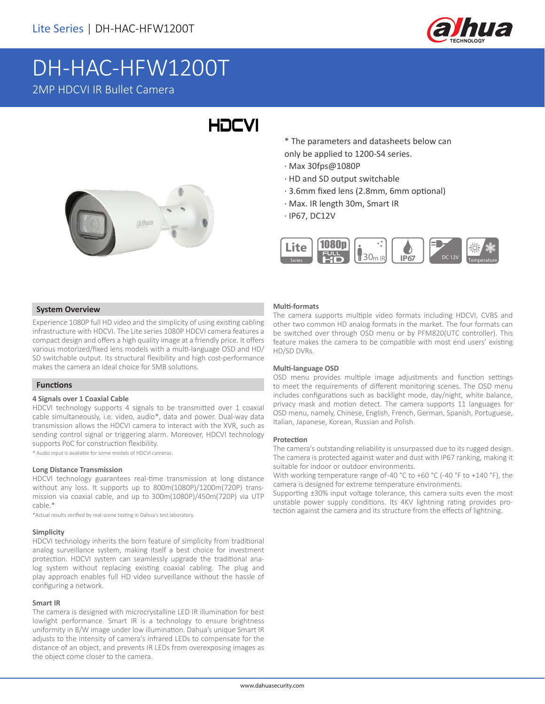

# DH-HAC-HFW1200T 2MP HDCVI IR Bullet Camera

# **HDCVI**



\* The parameters and datasheets below can only be applied to 1200-S4 series.

- · Max 30fps@1080P
- · HD and SD output switchable
- · 3.6mm fixed lens (2.8mm, 6mm optional)
- · Max. IR length 30m, Smart IR
- · IP67, DC12V



### **System Overview**

Experience 1080P full HD video and the simplicity of using existing cabling infrastructure with HDCVI. The Lite series 1080P HDCVI camera features a compact design and offers a high quality image at a friendly price. It offers various motorized/fixed lens models with a multi-language OSD and HD/ SD switchable output. Its structural flexibility and high cost-performance makes the camera an ideal choice for SMB solutions.

#### **Functions**

#### **4 Signals over 1 Coaxial Cable**

HDCVI technology supports 4 signals to be transmitted over 1 coaxial cable simultaneously, i.e. video, audio\*, data and power. Dual-way data transmission allows the HDCVI camera to interact with the XVR, such as sending control signal or triggering alarm. Moreover, HDCVI technology supports PoC for construction flexibility.

\* Audio input is available for some models of HDCVI cameras.

#### **Long Distance Transmission**

HDCVI technology guarantees real-time transmission at long distance without any loss. It supports up to 800m(1080P)/1200m(720P) transmission via coaxial cable, and up to 300m(1080P)/450m(720P) via UTP cable.\*

\*Actual results verified by real-scene testing in Dahua's test laboratory.

#### **Simplicity**

HDCVI technology inherits the born feature of simplicity from traditional analog surveillance system, making itself a best choice for investment protection. HDCVI system can seamlessly upgrade the traditional analog system without replacing existing coaxial cabling. The plug and play approach enables full HD video surveillance without the hassle of configuring a network.

#### **Smart IR**

The camera is designed with microcrystalline LED IR illumination for best lowlight performance. Smart IR is a technology to ensure brightness uniformity in B/W image under low illumination. Dahua's unique Smart IR adjusts to the intensity of camera's infrared LEDs to compensate for the distance of an object, and prevents IR LEDs from overexposing images as the object come closer to the camera.

#### **Multi-formats**

The camera supports multiple video formats including HDCVI, CVBS and other two common HD analog formats in the market. The four formats can be switched over through OSD menu or by PFM820(UTC controller). This feature makes the camera to be compatible with most end users' existing HD/SD DVRs.

#### **Multi-language OSD**

OSD menu provides multiple image adjustments and function settings to meet the requirements of different monitoring scenes. The OSD menu includes configurations such as backlight mode, day/night, white balance, privacy mask and motion detect. The camera supports 11 languages for OSD menu, namely, Chinese, English, French, German, Spanish, Portuguese, Italian, Japanese, Korean, Russian and Polish.

#### **Protection**

The camera's outstanding reliability is unsurpassed due to its rugged design. The camera is protected against water and dust with IP67 ranking, making it suitable for indoor or outdoor environments.

With working temperature range of-40 °C to +60 °C (-40 °F to +140 °F), the camera is designed for extreme temperature environments.

Supporting ±30% input voltage tolerance, this camera suits even the most unstable power supply conditions. Its 4KV lightning rating provides protection against the camera and its structure from the effects of lightning.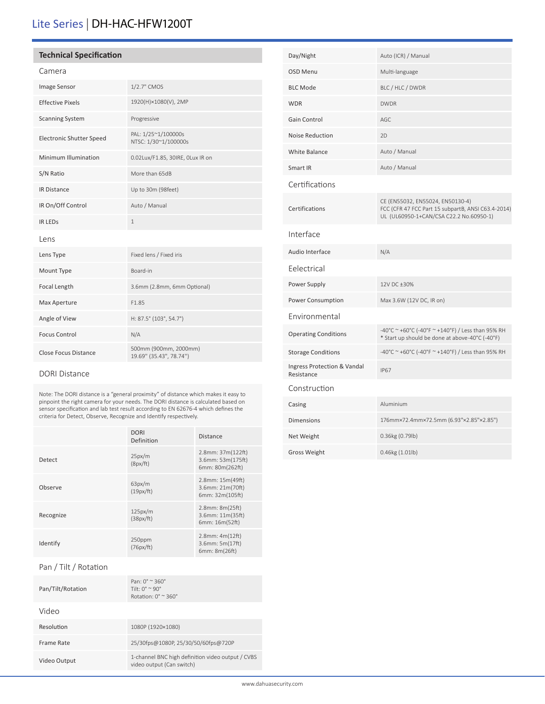# Lite Series | DH-HAC-HFW1200T

## **Technical Specification**

|--|

| Image Sensor                    | 1/2.7" CMOS                                      |  |
|---------------------------------|--------------------------------------------------|--|
| <b>Effective Pixels</b>         | 1920(H)×1080(V), 2MP                             |  |
| <b>Scanning System</b>          | Progressive                                      |  |
| <b>Electronic Shutter Speed</b> | PAL: 1/25~1/100000s<br>NTSC: 1/30~1/100000s      |  |
| Minimum Illumination            | 0.02Lux/F1.85, 30IRE, OLux IR on                 |  |
| S/N Ratio                       | More than 65dB                                   |  |
| <b>IR Distance</b>              | Up to 30m (98feet)                               |  |
| IR On/Off Control               | Auto / Manual                                    |  |
| <b>IR LEDS</b>                  | $\mathbf{1}$                                     |  |
| Lens                            |                                                  |  |
| Lens Type                       | Fixed lens / Fixed iris                          |  |
| Mount Type                      | Board-in                                         |  |
| Focal Length                    | 3.6mm (2.8mm, 6mm Optional)                      |  |
| Max Aperture                    | F1.85                                            |  |
| Angle of View                   | H: 87.5° (103°, 54.7°)                           |  |
| <b>Focus Control</b>            | N/A                                              |  |
| <b>Close Focus Distance</b>     | 500mm (900mm, 2000mm)<br>19.69" (35.43", 78.74") |  |

### DORI Distance

Note: The DORI distance is a "general proximity" of distance which makes it easy to pinpoint the right camera for your needs. The DORI distance is calculated based on sensor specification and lab test result according to EN 62676-4 which defines the criteria for Detect, Observe, Recognize and Identify respectively.

|           | <b>DORI</b><br>Definition | <b>Distance</b>                                           |
|-----------|---------------------------|-----------------------------------------------------------|
| Detect    | 25px/m<br>(8px/ft)        | 2.8mm: 37m(122ft)<br>3.6mm: 53m(175ft)<br>6mm: 80m(262ft) |
| Observe   | 63px/m<br>(19px/ft)       | 2.8mm: 15m(49ft)<br>3.6mm: 21m(70ft)<br>6mm: 32m(105ft)   |
| Recognize | 125px/m<br>(38px/ft)      | 2.8mm: 8m(25ft)<br>3.6mm: 11m(35ft)<br>6mm: 16m(52ft)     |
| Identify  | 250ppm<br>(76px/ft)       | 2.8mm: 4m(12ft)<br>3.6mm: 5m(17ft)<br>6mm: 8m(26ft)       |

# Pan / Tilt / Rotation

| Pan/Tilt/Rotation | Pan: $0^\circ \approx 360^\circ$<br>Tilt: $0^\circ \simeq 90^\circ$<br>Rotation: $0^\circ \approx 360^\circ$ |
|-------------------|--------------------------------------------------------------------------------------------------------------|
| Video             |                                                                                                              |
| Resolution        | 1080P (1920×1080)                                                                                            |
| Frame Rate        | 25/30fps@1080P, 25/30/50/60fps@720P                                                                          |
| Video Output      | 1-channel BNC high definition video output / CVBS<br>video output (Can switch)                               |

| Day/Night                                 | Auto (ICR) / Manual                                                                                                               |
|-------------------------------------------|-----------------------------------------------------------------------------------------------------------------------------------|
| OSD Menu                                  | Multi-language                                                                                                                    |
| <b>BLC Mode</b>                           | BLC / HLC / DWDR                                                                                                                  |
| <b>WDR</b>                                | <b>DWDR</b>                                                                                                                       |
| Gain Control                              | AGC.                                                                                                                              |
| Noise Reduction                           | 2D                                                                                                                                |
| <b>White Balance</b>                      | Auto / Manual                                                                                                                     |
| Smart IR                                  | Auto / Manual                                                                                                                     |
| Certifications                            |                                                                                                                                   |
| Certifications                            | CE (EN55032, EN55024, EN50130-4)<br>FCC (CFR 47 FCC Part 15 subpartB, ANSI C63.4-2014)<br>UL (UL60950-1+CAN/CSA C22.2 No.60950-1) |
| Interface                                 |                                                                                                                                   |
| Audio Interface                           | N/A                                                                                                                               |
| Eelectrical                               |                                                                                                                                   |
| Power Supply                              | 12V DC ±30%                                                                                                                       |
| Power Consumption                         | Max 3.6W (12V DC, IR on)                                                                                                          |
| Environmental                             |                                                                                                                                   |
| <b>Operating Conditions</b>               | -40°C ~ +60°C (-40°F ~ +140°F) / Less than 95% RH<br>* Start up should be done at above-40°C (-40°F)                              |
| <b>Storage Conditions</b>                 | -40°C ~ +60°C (-40°F ~ +140°F) / Less than 95% RH                                                                                 |
| Ingress Protection & Vandal<br>Resistance | <b>IP67</b>                                                                                                                       |
| Construction                              |                                                                                                                                   |
| Casing                                    | Aluminium                                                                                                                         |
| <b>Dimensions</b>                         | 176mm×72.4mm×72.5mm (6.93"×2.85"×2.85")                                                                                           |
| Net Weight                                | 0.36kg (0.79lb)                                                                                                                   |
| <b>Gross Weight</b>                       | $0.46$ kg $(1.01$ lb)                                                                                                             |